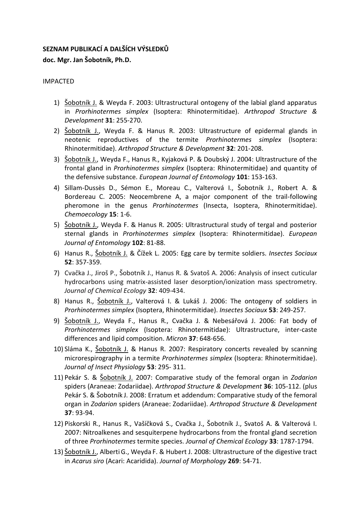# **SEZNAM PUBLIKACÍ A DALŠÍCH VÝSLEDKŮ doc. Mgr. Jan Šobotník, Ph.D.**

## IMPACTED

- 1) Šobotník J. & Weyda F. 2003: Ultrastructural ontogeny of the labial gland apparatus in *Prorhinotermes simplex* (Isoptera: Rhinotermitidae). *Arthropod Structure & Development* **31**: 255-270.
- 2) Šobotník J., Weyda F. & Hanus R. 2003: Ultrastructure of epidermal glands in neotenic reproductives of the termite *Prorhinotermes simplex* (Isoptera: Rhinotermitidae). *Arthropod Structure & Development* **32**: 201-208.
- 3) Šobotník J., Weyda F., Hanus R., Kyjaková P. & Doubský J. 2004: Ultrastructure of the frontal gland in *Prorhinotermes simplex* (Isoptera: Rhinotermitidae) and quantity of the defensive substance. *European Journal of Entomology* **101**: 153-163.
- 4) Sillam-Dussès D., Sémon E., Moreau C., Valterová I., Šobotník J., Robert A. & Bordereau C. 2005: Neocembrene A, a major component of the trail-following pheromone in the genus *Prorhinotermes* (Insecta, Isoptera, Rhinotermitidae). *Chemoecology* **15**: 1-6.
- 5) Šobotník J., Weyda F. & Hanus R. 2005: Ultrastructural study of tergal and posterior sternal glands in *Prorhinotermes simplex* (Isoptera: Rhinotermitidae). *European Journal of Entomology* **102**: 81-88.
- 6) Hanus R., Šobotník J. & Čížek L. 2005: Egg care by termite soldiers. *Insectes Sociaux* **52**: 357-359.
- 7) Cvačka J., Jiroš P., Šobotník J., Hanus R. & Svatoš A. 2006: Analysis of insect cuticular hydrocarbons using matrix-assisted laser desorption/ionization mass spectrometry. *Journal of Chemical Ecology* **32**: 409-434.
- 8) Hanus R., Šobotník J., Valterová I. & Lukáš J. 2006: The ontogeny of soldiers in *Prorhinotermes simplex* (Isoptera, Rhinotermitidae). *Insectes Sociaux* **53**: 249-257.
- 9) Šobotník J., Weyda F., Hanus R., Cvačka J. & Nebesářová J. 2006: Fat body of *Prorhinotermes simplex* (Isoptera: Rhinotermitidae): Ultrastructure, inter-caste differences and lipid composition. *Micron* **37**: 648-656.
- 10) Sláma K., Šobotník J. & Hanus R. 2007: Respiratory concerts revealed by scanning microrespirography in a termite *Prorhinotermes simplex* (Isoptera: Rhinotermitidae). *Journal of Insect Physiology* **53**: 295- 311.
- 11) Pekár S. & Šobotník J. 2007: Comparative study of the femoral organ in *Zodarion* spiders (Araneae: Zodariidae). *Arthropod Structure & Development* **36**: 105-112. (plus Pekár S. & Šobotník J. 2008: Erratum et addendum: Comparative study of the femoral organ in *Zodarion* spiders (Araneae: Zodariidae). *Arthropod Structure & Development* **37**: 93-94.
- 12) Piskorski R., Hanus R., Vašíčková S., Cvačka J., Šobotník J., Svatoš A. & Valterová I. 2007: Nitroalkenes and sesquiterpene hydrocarbons from the frontal gland secretion of three *Prorhinotermes* termite species. *Journal of Chemical Ecology* **33**: 1787-1794.
- 13) Šobotník J., AlbertiG., Weyda F. & Hubert J. 2008: Ultrastructure of the digestive tract in *Acarus siro* (Acari: Acaridida). *Journal of Morphology* **269**: 54-71.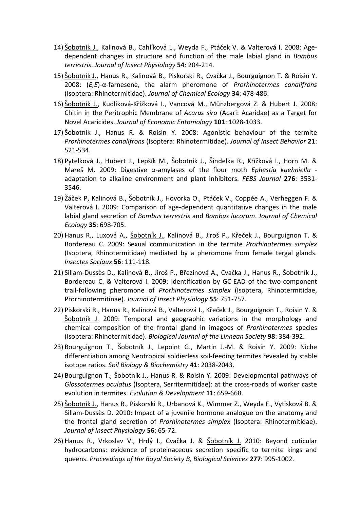- 14) Šobotník J., Kalinová B., Cahlíková L., Weyda F., Ptáček V. & Valterová I. 2008: Agedependent changes in structure and function of the male labial gland in *Bombus terrestris*. *Journal of Insect Physiology* **54**: 204-214.
- 15) Šobotník J., Hanus R., Kalinová B., Piskorski R., Cvačka J., Bourguignon T. & Roisin Y. 2008: (*E,E*)-α-farnesene, the alarm pheromone of *Prorhinotermes canalifrons* (Isoptera: Rhinotermitidae). *Journal of Chemical Ecology* **34**: 478-486.
- 16) Šobotník J., Kudlíková-Křížková I., Vancová M., Münzbergová Z. & Hubert J. 2008: Chitin in the Peritrophic Membrane of *Acarus siro* (Acari: Acaridae) as a Target for Novel Acaricides. *Journal of Economic Entomology* **101**: 1028-1033.
- 17) Sobotník J., Hanus R. & Roisin Y. 2008: Agonistic behaviour of the termite *Prorhinotermes canalifrons* (Isoptera: Rhinotermitidae). *Journal of Insect Behavior* **21**: 521-534.
- 18) Pytelková J., Hubert J., Lepšík M., Šobotník J., Šindelka R., Křížková I., Horn M. & Mareš M. 2009: Digestive α-amylases of the flour moth *Ephestia kuehniella* adaptation to alkaline environment and plant inhibitors. *FEBS Journal* **276**: 3531- 3546.
- 19) Žáček P, Kalinová B., Šobotník J., Hovorka O., Ptáček V., Coppée A., Verheggen F. & Valterová I. 2009: Comparison of age-dependent quantitative changes in the male labial gland secretion of *Bombus terrestris* and *Bombus lucorum*. *Journal of Chemical Ecology* **35**: 698-705.
- 20) Hanus R., Luxová A., Sobotník J., Kalinová B., Jiroš P., Křeček J., Bourguignon T. & Bordereau C. 2009: Sexual communication in the termite *Prorhinotermes simplex* (Isoptera, Rhinotermitidae) mediated by a pheromone from female tergal glands. *Insectes Sociaux* **56**: 111-118.
- 21) Sillam-Dussès D., Kalinová B., Jiroš P., Březinová A., Cvačka J., Hanus R., Šobotník J., Bordereau C. & Valterová I. 2009: Identification by GC-EAD of the two-component trail-following pheromone of *Prorhinotermes simplex* (Isoptera, Rhinotermitidae, Prorhinotermitinae). *Journal of Insect Physiology* **55**: 751-757.
- 22) Piskorski R., Hanus R., Kalinová B., Valterová I., Křeček J., Bourguignon T., Roisin Y. & <u>Šobotník J.</u> 2009: Temporal and geographic variations in the morphology and chemical composition of the frontal gland in imagoes of *Prorhinotermes* species (Isoptera: Rhinotermitidae). *Biological Journal of the Linnean Society* **98**: 384-392.
- 23) Bourguignon T., Šobotník J., Lepoint G., Martin J.-M. & Roisin Y. 2009: Niche differentiation among Neotropical soldierless soil-feeding termites revealed by stable isotope ratios. *Soil Biology & Biochemistry* **41**: 2038-2043.
- 24) Bourguignon T., Šobotník J., Hanus R. & Roisin Y. 2009: Developmental pathways of *Glossotermes oculatus* (Isoptera, Serritermitidae): at the cross-roads of worker caste evolution in termites. *Evolution & Development* **11**: 659-668.
- 25) Šobotník J., Hanus R., Piskorski R., Urbanová K., Wimmer Z., Weyda F., Vytisková B. & Sillam-Dussès D. 2010: Impact of a juvenile hormone analogue on the anatomy and the frontal gland secretion of *Prorhinotermes simplex* (Isoptera: Rhinotermitidae). *Journal of Insect Physiology* **56**: 65-72.
- 26) Hanus R., Vrkoslav V., Hrdý I., Cvačka J. & <u>Šobotník J.</u> 2010: Beyond cuticular hydrocarbons: evidence of proteinaceous secretion specific to termite kings and queens. *Proceedings of the Royal Society B, Biological Sciences* **277**: 995-1002.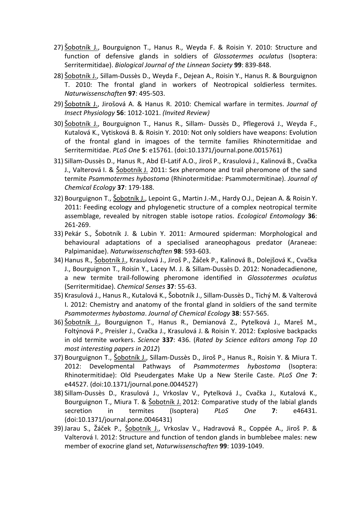- 27) Sobotník J., Bourguignon T., Hanus R., Weyda F. & Roisin Y. 2010: Structure and function of defensive glands in soldiers of *Glossotermes oculatus* (Isoptera: Serritermitidae). *Biological Journal of the Linnean Society* **99**: 839-848.
- 28) Šobotník J., Sillam-Dussès D., Weyda F., Dejean A., Roisin Y., Hanus R. & Bourguignon T. 2010: The frontal gland in workers of Neotropical soldierless termites. *Naturwissenschaften* **97**: 495-503.
- 29) Šobotník J., Jirošová A. & Hanus R. 2010: Chemical warfare in termites. *Journal of Insect Physiology* **56**: 1012-1021. *(Invited Review)*
- 30) Šobotník J., Bourguignon T., Hanus R., Sillam- Dussès D., Pflegerová J., Weyda F., Kutalová K., Vytisková B. & Roisin Y. 2010: Not only soldiers have weapons: Evolution of the frontal gland in imagoes of the termite families Rhinotermitidae and Serritermitidae. *PLoS One* **5**: e15761. (doi:10.1371/journal.pone.0015761)
- 31) Sillam-Dussès D., Hanus R., Abd El-Latif A.O., Jiroš P., Krasulová J., Kalinová B., Cvačka J., Valterová I. & Šobotník J. 2011: Sex pheromone and trail pheromone of the sand termite *Psammotermes hybostoma* (Rhinotermitidae: Psammotermitinae). *Journal of Chemical Ecology* **37**: 179-188.
- 32) Bourguignon T., Šobotník J., Lepoint G., Martin J.-M., Hardy O.J., Dejean A. & Roisin Y. 2011: Feeding ecology and phylogenetic structure of a complex neotropical termite assemblage, revealed by nitrogen stable isotope ratios. *Ecological Entomology* **36**: 261-269.
- 33) Pekár S., Šobotník J. & Lubin Y. 2011: Armoured spiderman: Morphological and behavioural adaptations of a specialised araneophagous predator (Araneae: Palpimanidae). *Naturwissenschaften* **98**: 593-603.
- 34) Hanus R., Šobotník J., Krasulová J., Jiroš P., Žáček P., Kalinová B., Dolejšová K., Cvačka J., Bourguignon T., Roisin Y., Lacey M. J. & Sillam-Dussès D. 2012: Nonadecadienone, a new termite trail-following pheromone identified in *Glossotermes oculatus* (Serritermitidae). *Chemical Senses* **37**: 55-63.
- 35) Krasulová J., Hanus R., Kutalová K., Šobotník J., Sillam-Dussès D., Tichý M. & Valterová I. 2012: Chemistry and anatomy of the frontal gland in soldiers of the sand termite *Psammotermes hybostoma*. *Journal of Chemical Ecology* **38**: 557-565.
- 36) Šobotník J., Bourguignon T., Hanus R., Demianová Z., Pytelková J., Mareš M., Foltýnová P., Preisler J., Cvačka J., Krasulová J. & Roisin Y. 2012: Explosive backpacks in old termite workers. *Science* **337**: 436. (*Rated by Science editors among Top 10 most interesting papers in 2012*)
- 37) Bourguignon T., Šobotník J., Sillam-Dussès D., Jiroš P., Hanus R., Roisin Y. & Miura T. 2012: Developmental Pathways of *Psammotermes hybostoma* (Isoptera: Rhinotermitidae): Old Pseudergates Make Up a New Sterile Caste. *PLoS One* **7**: e44527. (doi:10.1371/journal.pone.0044527)
- 38) Sillam-Dussès D., Krasulová J., Vrkoslav V., Pytelková J., Cvačka J., Kutalová K., Bourguignon T., Miura T. & Šobotník J. 2012: Comparative study of the labial glands secretion in termites (Isoptera) *PLoS One* **7**: e46431. (doi:10.1371/journal.pone.0046431)
- 39) Jarau S., Žáček P., Šobotník J., Vrkoslav V., Hadravová R., Coppée A., Jiroš P. & Valterová I. 2012: Structure and function of tendon glands in bumblebee males: new member of exocrine gland set, *Naturwissenschaften* **99**: 1039-1049.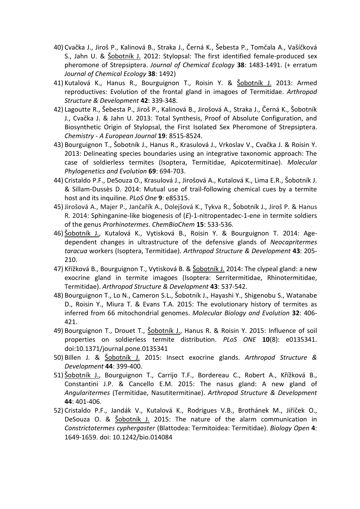- 40) Cvačka J., Jiroš P., Kalinová B., Straka J., Černá K., Šebesta P., Tomčala A., Vašíčková S., Jahn U. & Šobotník J. 2012: Stylopsal: The first identified female-produced sex pheromone of Strepsiptera. *Journal of Chemical Ecology* **38**: 1483-1491. (+ erratum *Journal of Chemical Ecology* **38**: 1492)
- 41) Kutalová K., Hanus R., Bourguignon T., Roisin Y. & Šobotník J. 2013: Armed reproductives: Evolution of the frontal gland in imagoes of Termitidae. *Arthropod Structure & Development* **42**: 339-348.
- 42) Lagoutte R., Šebesta P., Jiroš P., Kalinová B., Jirošová A., Straka J., Černá K., Šobotník J., Cvačka J. & Jahn U. 2013: Total Synthesis, Proof of Absolute Configuration, and Biosynthetic Origin of Stylopsal, the First Isolated Sex Pheromone of Strepsiptera. *Chemistry - A European Journal* **19**: 8515-8524.
- 43) Bourguignon T., Šobotník J., Hanus R., Krasulová J., Vrkoslav V., Cvačka J. & Roisin Y. 2013: Delineating species boundaries using an integrative taxonomic approach: The case of soldierless termites (Isoptera, Termitidae, Apicotermitinae). *Molecular Phylogenetics and Evolution* **69**: 694-703.
- 44) Cristaldo P.F., DeSouza O., Krasulová J., Jirošová A., Kutalová K., Lima E.R., Šobotník J. & Sillam-Dussès D. 2014: Mutual use of trail-following chemical cues by a termite host and its inquiline. *PLoS One* **9**: e85315.
- 45) Jirošová A., Majer P., Jančařík A., Dolejšová K., Tykva R., Šobotník J., Jiroš P. & Hanus R. 2014: Sphinganine-like biogenesis of (*E*)-1-nitropentadec-1-ene in termite soldiers of the genus *Prorhinotermes*. *ChemBioChem* **15**: 533-536.
- 46) Šobotník J., Kutalová K., Vytisková B., Roisin Y. & Bourguignon T. 2014: Agedependent changes in ultrastructure of the defensive glands of *Neocapritermes taracua* workers (Isoptera, Termitidae). *Arthropod Structure & Development* **43**: 205- 210.
- 47) Křížková B., Bourguignon T., Vytisková B. & Šobotník J. 2014: The clypeal gland: a new exocrine gland in termite imagoes (Isoptera: Serritermitidae, Rhinotermitidae, Termitidae). *Arthropod Structure & Development* **43**: 537-542.
- 48) Bourguignon T., Lo N., Cameron S.L., Šobotník J., Hayashi Y., Shigenobu S., Watanabe D., Roisin Y., Miura T. & Evans T.A. 2015: The evolutionary history of termites as inferred from 66 mitochondrial genomes. *Molecular Biology and Evolution* **32**: 406- 421.
- 49) Bourguignon T., Drouet T., Sobotník J., Hanus R. & Roisin Y. 2015: Influence of soil properties on soldierless termite distribution. *PLoS ONE* **10**(8): e0135341. doi:10.1371/journal.pone.0135341
- 50) Billen J. & Šobotník J. 2015: Insect exocrine glands. *Arthropod Structure & Development* **44**: 399-400.
- 51) Šobotník J., Bourguignon T., Carrijo T.F., Bordereau C., Robert A., Křížková B., Constantini J.P. & Cancello E.M. 2015: The nasus gland: A new gland of *Angularitermes* (Termitidae, Nasutitermitinae). *Arthropod Structure & Development* **44**: 401-406.
- 52) Cristaldo P.F., Jandák V., Kutalová K., Rodrigues V.B., Brothánek M., Jiříček O., DeSouza O. & Sobotník J. 2015: The nature of the alarm communication in *Constrictotermes cyphergaster* (Blattodea: Termitoidea: Termitidae). *Biology Open* **4**: 1649-1659. doi: 10.1242/bio.014084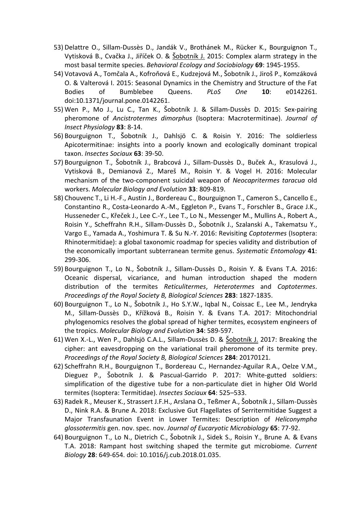- 53) Delattre O., Sillam-Dussès D., Jandák V., Brothánek M., Rücker K., Bourguignon T., Vytisková B., Cvačka J., Jiříček O. & Šobotník J. 2015: Complex alarm strategy in the most basal termite species. *Behavioral Ecology and Sociobiology* **69**: 1945-1955.
- 54) Votavová A., Tomčala A., Kofroňová E., Kudzejová M., Šobotník J., Jiroš P., Komzáková O. & Valterová I. 2015: Seasonal Dynamics in the Chemistry and Structure of the Fat Bodies of Bumblebee Queens. *PLoS One* **10**: e0142261. doi:10.1371/journal.pone.0142261.
- 55) Wen P., Mo J., Lu C., Tan K., Šobotník J. & Sillam-Dussès D. 2015: Sex-pairing pheromone of *Ancistrotermes dimorphus* (Isoptera: Macrotermitinae). *Journal of Insect Physiology* **83**: 8-14.
- 56) Bourguignon T., Šobotník J., Dahlsjö C. & Roisin Y. 2016: The soldierless Apicotermitinae: insights into a poorly known and ecologically dominant tropical taxon. *Insectes Sociaux* **63**: 39-50.
- 57) Bourguignon T., Šobotník J., Brabcová J., Sillam-Dussès D., Buček A., Krasulová J., Vytisková B., Demianová Z., Mareš M., Roisin Y. & Vogel H. 2016: Molecular mechanism of the two-component suicidal weapon of *Neocapritermes taracua* old workers. *Molecular Biology and Evolution* **33**: 809-819.
- 58) Chouvenc T., Li H.-F., Austin J., Bordereau C., Bourguignon T., Cameron S., Cancello E., Constantino R., Costa-Leonardo A.-M., Eggleton P., Evans T., Forschler B., Grace J.K., Husseneder C., Křeček J., Lee C.-Y., Lee T., Lo N., Messenger M., Mullins A., Robert A., Roisin Y., Scheffrahn R.H., Sillam-Dussès D., Šobotník J., Szalanski A., Takematsu Y., Vargo E., Yamada A., Yoshimura T. & Su N.-Y. 2016: Revisiting *Coptotermes* (Isoptera: Rhinotermitidae): a global taxonomic roadmap for species validity and distribution of the economically important subterranean termite genus. *Systematic Entomology* **41**: 299-306.
- 59) Bourguignon T., Lo N., Šobotník J., Sillam-Dussès D., Roisin Y. & Evans T.A. 2016: Oceanic dispersal, vicariance, and human introduction shaped the modern distribution of the termites *Reticulitermes*, *Heterotermes* and *Coptotermes*. *Proceedings of the Royal Society B, Biological Sciences* **283**: 1827-1835.
- 60) Bourguignon T., Lo N., Šobotník J., Ho S.Y.W., Iqbal N., Coissac E., Lee M., Jendryka M., Sillam-Dussès D., Křížková B., Roisin Y. & Evans T.A. 2017: Mitochondrial phylogenomics resolves the global spread of higher termites, ecosystem engineers of the tropics. *Molecular Biology and Evolution* **34**: 589-597.
- 61) Wen X.-L., Wen P., Dahlsjö C.A.L., Sillam-Dussès D. & Sobotník J. 2017: Breaking the cipher: ant eavesdropping on the variational trail pheromone of its termite prey. *Proceedings of the Royal Society B, Biological Sciences* **284**: 20170121.
- 62) Scheffrahn R.H., Bourguignon T., Bordereau C., Hernandez-Aguilar R.A., Oelze V.M., Dieguez P., Šobotník J. & Pascual-Garrido P. 2017: White-gutted soldiers: simplification of the digestive tube for a non-particulate diet in higher Old World termites (Isoptera: Termitidae). *Insectes Sociaux* **64**: 525–533.
- 63) Radek R., Meuser K., Strassert J.F.H., Arslana O., Teßmer A., Šobotník J., Sillam-Dussès D., Nink R.A. & Brune A. 2018: Exclusive Gut Flagellates of Serritermitidae Suggest a Major Transfaunation Event in Lower Termites: Description of *Heliconympha glossotermitis* gen. nov. spec. nov. *Journal of Eucaryotic Microbiology* **65**: 77-92.
- 64) Bourguignon T., Lo N., Dietrich C., Šobotník J., Sidek S., Roisin Y., Brune A. & Evans T.A. 2018: Rampant host switching shaped the termite gut microbiome. *Current Biology* **28**: 649-654. doi: 10.1016/j.cub.2018.01.035.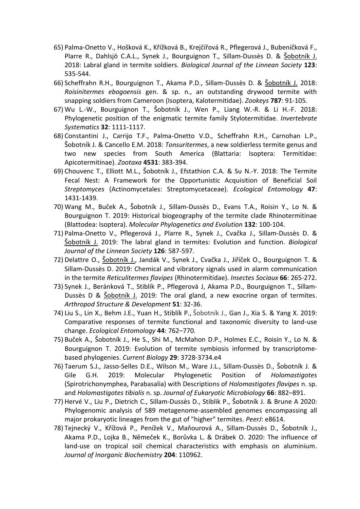- 65) Palma-Onetto V., Hošková K., Křížková B., Krejčířová R., Pflegerová J., Bubeníčková F., Plarre R., Dahlsjö C.A.L., Synek J., Bourguignon T., Sillam-Dussès D. & Šobotník J. 2018: Labral gland in termite soldiers. *Biological Journal of the Linnean Society* **123**: 535-544.
- 66) Scheffrahn R.H., Bourguignon T., Akama P.D., Sillam-Dussès D. & Šobotník J. 2018: *Roisinitermes ebogoensis* gen. & sp. n., an outstanding drywood termite with snapping soldiers from Cameroon (Isoptera, Kalotermitidae). *Zookeys* **787**: 91-105.
- 67) Wu L.-W., Bourguignon T., Šobotník J., Wen P., Liang W.-R. & Li H.-F. 2018: Phylogenetic position of the enigmatic termite family Stylotermitidae. *Invertebrate Systematics* **32**: 1111-1117.
- 68) Constantini J., Carrijo T.F., Palma-Onetto V.D., Scheffrahn R.H., Carnohan L.P., Šobotník J. & Cancello E.M. 2018: *Tonsuritermes*, a new soldierless termite genus and two new species from South America (Blattaria: Isoptera: Termitidae: Apicotermitinae). *Zootaxa* **4531**: 383-394.
- 69) Chouvenc T., Elliott M.L., Šobotník J., Efstathion C.A. & Su N.-Y. 2018: The Termite Fecal Nest: A Framework for the Opportunistic Acquisition of Beneficial Soil *Streptomyces* (Actinomycetales: Streptomycetaceae). *Ecological Entomology* **47**: 1431-1439.
- 70) Wang M., Buček A., Šobotník J., Sillam-Dussès D., Evans T.A., Roisin Y., Lo N. & Bourguignon T. 2019: Historical biogeography of the termite clade Rhinotermitinae (Blattodea: Isoptera). *Molecular Phylogenetics and Evolution* **132**: 100-104.
- 71) Palma-Onetto V., Pflegerová J., Plarre R., Synek J., Cvačka J., Sillam-Dussès D. & Šobotník J. 2019: The labral gland in termites: Evolution and function. *Biological Journal of the Linnean Society* **126**: 587-597.
- 72) Delattre O., Šobotník J., Jandák V., Synek J., Cvačka J., Jiříček O., Bourguignon T. & Sillam-Dussès D. 2019: Chemical and vibratory signals used in alarm communication in the termite *Reticulitermes flavipes* (Rhinotermitidae). *Insectes Sociaux* **66**: 265-272.
- 73) Synek J., Beránková T., Stiblík P., Pflegerová J, Akama P.D., Bourguignon T., Sillam-Dussès D & Šobotník J. 2019: The oral gland, a new exocrine organ of termites. *Arthropod Structure & Development* **51**: 32-36.
- 74) Liu S., Lin X., Behm J.E., Yuan H., Stiblík P., Šobotník J., Gan J., Xia S. & Yang X. 2019: Comparative responses of termite functional and taxonomic diversity to land-use change. *Ecological Entomology* **44**: 762–770.
- 75) Buček A., Šobotník J., He S., Shi M., McMahon D.P., Holmes E.C., Roisin Y., Lo N. & Bourguignon T. 2019: Evolution of termite symbiosis informed by transcriptomebased phylogenies. *Current Biology* **29**: 3728-3734.e4
- 76) Taerum S.J., Jasso-Selles D.E., Wilson M., Ware J.L., Sillam-Dussès D., Šobotník J. & Gile G.H. 2019: Molecular Phylogenetic Position of *Holomastigotes* (Spirotrichonymphea, Parabasalia) with Descriptions of *Holomastigotes flavipes* n. sp. and *Holomastigotes tibialis* n. sp. *Journal of Eukaryotic Microbiology* **66**: 882–891.
- 77) Hervé V., Liu P., Dietrich C., Sillam-Dussès D., Stiblik P., Šobotník J. & Brune A 2020: Phylogenomic analysis of 589 metagenome-assembled genomes encompassing all major prokaryotic lineages from the gut of "higher" termites. *PeerJ*: e8614.
- 78) Tejnecký V., Křížová P., Penížek V., Maňourová A., Sillam-Dussès D., Šobotník J., Akama P.D., Lojka B., Němeček K., Borůvka L. & Drábek O. 2020: The influence of land-use on tropical soil chemical characteristics with emphasis on aluminium. *Journal of Inorganic Biochemistry* **204**: 110962.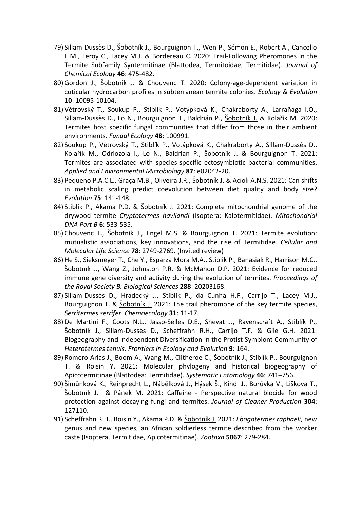- 79) Sillam-Dussès D., Šobotník J., Bourguignon T., Wen P., Sémon E., Robert A., Cancello E.M., Leroy C., Lacey M.J. & Bordereau C. 2020: Trail-Following Pheromones in the Termite Subfamily Syntermitinae (Blattodea, Termitoidae, Termitidae). *Journal of Chemical Ecology* **46**: 475-482.
- 80) Gordon J., Šobotník J. & Chouvenc T. 2020: Colony-age-dependent variation in cuticular hydrocarbon profiles in subterranean termite colonies. *Ecology & Evolution* **10**: 10095-10104.
- 81) Větrovský T., Soukup P., Stiblík P., Votýpková K., Chakraborty A., Larrañaga I.O., Sillam-Dussès D., Lo N., Bourguignon T., Baldrián P., Šobotník J. & Kolařík M. 2020: Termites host specific fungal communities that differ from those in their ambient environments. *Fungal Ecology* **48**: 100991.
- 82) Soukup P., Větrovský T., Stiblík P., Votýpková K., Chakraborty A., Sillam-Dussès D., Kolařík M., Odriozola I., Lo N., Baldrian P., Šobotník J. & Bourguignon T. 2021: Termites are associated with species-specific ectosymbiotic bacterial communities. *Applied and Environmental Microbiology* **87**: e02042-20.
- 83) Pequeno P.A.C.L., Graça M.B., Oliveira J.R., Šobotník J. & Acioli A.N.S. 2021: Can shifts in metabolic scaling predict coevolution between diet quality and body size? *Evolution* **75**: 141-148.
- 84) Stiblík P., Akama P.D. & Sobotník J. 2021: Complete mitochondrial genome of the drywood termite *Cryptotermes havilandi* (Isoptera: Kalotermitidae). *Mitochondrial DNA Part B* **6**: 533-535.
- 85) Chouvenc T., Šobotník J., Engel M.S. & Bourguignon T. 2021: Termite evolution: mutualistic associations, key innovations, and the rise of Termitidae. *Cellular and Molecular Life Science* **78**: 2749-2769. (Invited review)
- 86) He S., Sieksmeyer T., Che Y., Esparza Mora M.A., Stiblik P., Banasiak R., Harrison M.C., Šobotník J., Wang Z., Johnston P.R. & McMahon D.P. 2021: Evidence for reduced immune gene diversity and activity during the evolution of termites. *Proceedings of the Royal Society B, Biological Sciences* **288**: 20203168.
- 87) Sillam-Dussès D., Hradecký J., Stiblík P., da Cunha H.F., Carrijo T., Lacey M.J., Bourguignon T. & Sobotník J. 2021: The trail pheromone of the key termite species, *Serritermes serrifer*. *Chemoecology* **31**: 11-17.
- 88) De Martini F., Coots N.L., Jasso-Selles D.E., Shevat J., Ravenscraft A., Stiblík P., Šobotník J., Sillam-Dussès D., Scheffrahn R.H., Carrijo T.F. & Gile G.H. 2021: Biogeography and Independent Diversification in the Protist Symbiont Community of *Heterotermes tenuis*. *Frontiers in Ecology and Evolution* **9**: 164.
- 89) Romero Arias J., Boom A., Wang M., Clitheroe C., Šobotník J., Stiblík P., Bourguignon T. & Roisin Y. 2021: Molecular phylogeny and historical biogeography of Apicotermitinae (Blattodea: Termitidae). *Systematic Entomology* **46**: 741–756.
- 90) Šimůnková K., Reinprecht L., Nábělková J., Hýsek Š., Kindl J., Borůvka V., Lišková T., Šobotník J. & Pánek M. 2021: Caffeine - Perspective natural biocide for wood protection against decaying fungi and termites. *Journal of Cleaner Production* **304**: 127110.
- 91) Scheffrahn R.H., Roisin Y., Akama P.D. & Šobotník J. 2021: *Ebogotermes raphaeli*, new genus and new species, an African soldierless termite described from the worker caste (Isoptera, Termitidae, Apicotermitinae). *Zootaxa* **5067**: 279-284.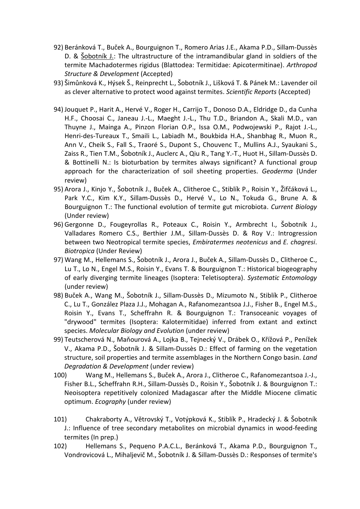- 92) Beránková T., Buček A., Bourguignon T., Romero Arias J.E., Akama P.D., Sillam-Dussès D. & Šobotník J.: The ultrastructure of the intramandibular gland in soldiers of the termite Machadotermes rigidus (Blattodea: Termitidae: Apicotermitinae). *Arthropod Structure & Development* (Accepted)
- 93) Šimůnková K., Hýsek Š., Reinprecht L., Šobotník J., Lišková T. & Pánek M.: Lavender oil as clever alternative to protect wood against termites. *Scientific Reports* (Accepted)
- 94) Jouquet P., Harit A., Hervé V., Roger H., Carrijo T., Donoso D.A., Eldridge D., da Cunha H.F., Choosai C., Janeau J.-L., Maeght J.-L., Thu T.D., Briandon A., Skali M.D., van Thuyne J., Mainga A., Pinzon Florian O.P., Issa O.M., Podwojewski P., Rajot J.-L., Henri-des-Tureaux T., Smaili L., Labiadh M., Boukbida H.A., Shanbhag R., Muon R., Ann V., Cheik S., Fall S., Traoré S., Dupont S., Chouvenc T., Mullins A.J., Syaukani S., Zaiss R., Tien T.M., Šobotník J., Auclerc A., Qiu R., Tang Y.-T., Huot H., Sillam-Dussès D. & Bottinelli N.: Is bioturbation by termites always significant? A functional group approach for the characterization of soil sheeting properties. *Geoderma* (Under review)
- 95) Arora J., Kinjo Y., Šobotník J., Buček A., Clitheroe C., Stiblík P., Roisin Y., Žifčáková L., Park Y.C., Kim K.Y., Sillam-Dussès D., Hervé V., Lo N., Tokuda G., Brune A. & Bourguignon T.: The functional evolution of termite gut microbiota. *Current Biology* (Under review)
- 96) Gergonne D., Fougeyrollas R., Poteaux C., Roisin Y., Armbrecht I., Šobotník J., Valladares Romero C.S., Berthier J.M., Sillam-Dussès D. & Roy V.: Introgression between two Neotropical termite species, *Embiratermes neotenicus* and *E. chagresi*. *Biotropica* (Under Review)
- 97) Wang M., Hellemans S., Šobotník J., Arora J., Buček A., Sillam-Dussès D., Clitheroe C., Lu T., Lo N., Engel M.S., Roisin Y., Evans T. & Bourguignon T.: Historical biogeography of early diverging termite lineages (Isoptera: Teletisoptera). *Systematic Entomology* (under review)
- 98) Buček A., Wang M., Šobotník J., Sillam-Dussès D., Mizumoto N., Stiblík P., Clitheroe C., Lu T., González Plaza J.J., Mohagan A., Rafanomezantsoa J.J., Fisher B., Engel M.S., Roisin Y., Evans T., Scheffrahn R. & Bourguignon T.: Transoceanic voyages of "drywood" termites (Isoptera: Kalotermitidae) inferred from extant and extinct species. *Molecular Biology and Evolution* (under review)
- 99) Teutscherová N., Maňourová A., Lojka B., Tejnecký V., Drábek O., Křížová P., Penížek V., Akama P.D., Šobotník J. & Sillam-Dussès D.: Effect of farming on the vegetation structure, soil properties and termite assemblages in the Northern Congo basin. *Land Degradation & Development* (under review)
- 100) Wang M., Hellemans S., Buček A., Arora J., Clitheroe C., Rafanomezantsoa J.-J., Fisher B.L., Scheffrahn R.H., Sillam-Dussès D., Roisin Y., Šobotník J. & Bourguignon T.: Neoisoptera repetitively colonized Madagascar after the Middle Miocene climatic optimum. *Ecography* (under review)
- 101) Chakraborty A., Větrovský T., Votýpková K., Stiblík P., Hradecký J. & Šobotník J.: Influence of tree secondary metabolites on microbial dynamics in wood-feeding termites (In prep.)
- 102) Hellemans S., Pequeno P.A.C.L., Beránková T., Akama P.D., Bourguignon T., Vondrovicová L., Mihaljevič M., Šobotník J. & Sillam-Dussès D.: Responses of termite's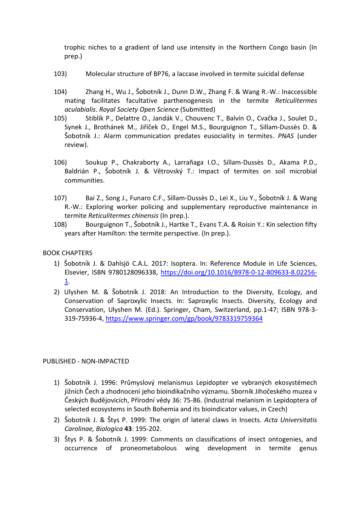trophic niches to a gradient of land use intensity in the Northern Congo basin (In prep.)

- 103) Molecular structure of BP76, a laccase involved in termite suicidal defense
- 104) Zhang H., Wu J., Šobotník J., Dunn D.W., Zhang F. & Wang R.-W.: Inaccessible mating facilitates facultative parthenogenesis in the termite *Reticulitermes aculabialis*. *Royal Society Open Science* (Submitted)
- 105) Stiblík P., Delattre O., Jandák V., Chouvenc T., Balvín O., Cvačka J., Soulet D., Synek J., Brothánek M., Jiříček O., Engel M.S., Bourguignon T., Sillam-Dussès D. & Šobotník J.: Alarm communication predates eusociality in termites. *PNAS* (under review).
- 106) Soukup P., Chakraborty A., Larrañaga I.O., Sillam-Dussès D., Akama P.D., Baldrián P., Šobotník J. & Větrovský T.: Impact of termites on soil microbial communities.
- 107) Bai Z., Song J., Funaro C.F., Sillam-Dussès D., Lei X., Liu Y., Šobotník J. & Wang R.-W.: Exploring worker policing and supplementary reproductive maintenance in termite *Reticulitermes chinensis* (In prep.).
- 108) Bourguignon T., Šobotník J., Hartke T., Evans T.A. & Roisin Y.: Kin selection fifty years after Hamilton: the termite perspective. (In prep.).

## BOOK CHAPTERS

- 1) Šobotník J. & Dahlsjö C.A.L. 2017: Isoptera. In: Reference Module in Life Sciences, Elsevier, ISBN 9780128096338, [https://doi.org/10.1016/B978-0-12-809633-8.02256-](https://doi.org/10.1016/B978-0-12-809633-8.02256-1) [1.](https://doi.org/10.1016/B978-0-12-809633-8.02256-1)
- 2) Ulyshen M. & Šobotník J. 2018: An Introduction to the Diversity, Ecology, and Conservation of Saproxylic Insects. In: Saproxylic Insects. Diversity, Ecology and Conservation, Ulyshen M. (Ed.). Springer, Cham, Switzerland, pp.1-47; ISBN 978-3- 319-75936-4,<https://www.springer.com/gp/book/9783319759364>

#### PUBLISHED - NON-IMPACTED

- 1) Šobotník J. 1996: Průmyslový melanismus Lepidopter ve vybraných ekosystémech jižních Čech a zhodnocení jeho bioindikačního významu. Sborník Jihočeského muzea v Českých Budějovicích, Přírodní vědy 36: 75-86. (Industrial melanism in Lepidoptera of selected ecosystems in South Bohemia and its bioindicator values, in Czech)
- 2) Šobotník J. & Štys P. 1999: The origin of lateral claws in Insects. *Acta Universitatis Carolinae, Biologica* **43**: 195-202.
- 3) Štys P. & Šobotník J. 1999: Comments on classifications of insect ontogenies, and occurrence of proneometabolous wing development in termite genus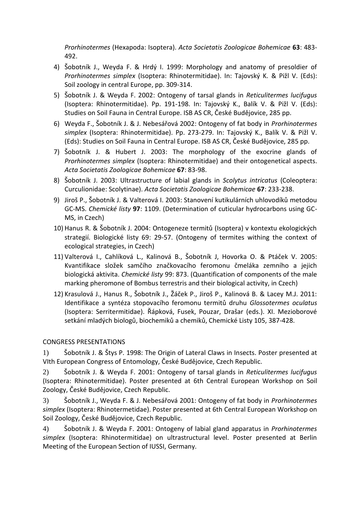*Prorhinotermes* (Hexapoda: Isoptera). *Acta Societatis Zoologicae Bohemicae* **63**: 483- 492.

- 4) Šobotník J., Weyda F. & Hrdý I. 1999: Morphology and anatomy of presoldier of *Prorhinotermes simplex* (Isoptera: Rhinotermitidae). In: Tajovský K. & Pižl V. (Eds): Soil zoology in central Europe, pp. 309-314.
- 5) Šobotník J. & Weyda F. 2002: Ontogeny of tarsal glands in *Reticulitermes lucifugus*  (Isoptera: Rhinotermitidae). Pp. 191-198. In: Tajovský K., Balík V. & Pižl V. (Eds): Studies on Soil Fauna in Central Europe. ISB AS CR, České Budějovice, 285 pp.
- 6) Weyda F., Šobotník J. & J. Nebesářová 2002: Ontogeny of fat body in *Prorhinotermes simplex* (Isoptera: Rhinotermitidae). Pp. 273-279. In: Tajovský K., Balík V. & Pižl V. (Eds): Studies on Soil Fauna in Central Europe. ISB AS CR, České Budějovice, 285 pp.
- 7) Šobotník J. & Hubert J. 2003: The morphology of the exocrine glands of *Prorhinotermes simplex* (Isoptera: Rhinotermitidae) and their ontogenetical aspects. *Acta Societatis Zoologicae Bohemicae* **67**: 83-98.
- 8) Šobotník J. 2003: Ultrastructure of labial glands in *Scolytus intricatus* (Coleoptera: Curculionidae: Scolytinae). *Acta Societatis Zoologicae Bohemicae* **67**: 233-238.
- 9) Jiroš P., Šobotník J. & Valterová I. 2003: Stanovení kutikulárních uhlovodíků metodou GC-MS. *Chemické listy* **97**: 1109. (Determination of cuticular hydrocarbons using GC-MS, in Czech)
- 10) Hanus R. & Šobotník J. 2004: Ontogeneze termitů (Isoptera) v kontextu ekologických strategií. Biologické listy 69: 29-57. (Ontogeny of termites withing the context of ecological strategies, in Czech)
- 11) Valterová I., Cahlíková L., Kalinová B., Šobotník J, Hovorka O. & Ptáček V. 2005: Kvantifikace složek samčího značkovacího feromonu čmeláka zemního a jejich biologická aktivita. *Chemické listy* 99: 873. (Quantification of components of the male marking pheromone of Bombus terrestris and their biological activity, in Czech)
- 12) Krasulová J., Hanus R., Šobotník J., Žáček P., Jiroš P., Kalinová B. & Lacey M.J. 2011: Identifikace a syntéza stopovacího feromonu termitů druhu *Glossotermes oculatus* (Isoptera: Serritermitidae). Řápková, Fusek, Pouzar, Drašar (eds.). XI. Mezioborové setkání mladých biologů, biochemiků a chemiků, Chemické Listy 105, 387-428.

## CONGRESS PRESENTATIONS

1) Šobotník J. & Štys P. 1998: The Origin of Lateral Claws in Insects. Poster presented at VIth European Congress of Entomology, České Budějovice, Czech Republic.

2) Šobotník J. & Weyda F. 2001: Ontogeny of tarsal glands in *Reticulitermes lucifugus*  (Isoptera: Rhinotermitidae). Poster presented at 6th Central European Workshop on Soil Zoology, České Budějovice, Czech Republic.

3) Šobotník J., Weyda F. & J. Nebesářová 2001: Ontogeny of fat body in *Prorhinotermes simplex* (Isoptera: Rhinotermetidae). Poster presented at 6th Central European Workshop on Soil Zoology, České Budějovice, Czech Republic.

4) Šobotník J. & Weyda F. 2001: Ontogeny of labial gland apparatus in *Prorhinotermes simplex* (Isoptera: Rhinotermitidae) on ultrastructural level. Poster presented at Berlin Meeting of the European Section of IUSSI, Germany.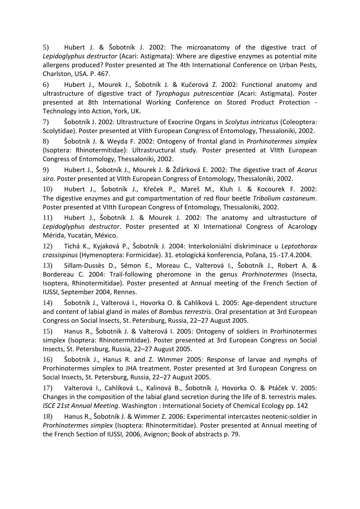5) Hubert J. & Šobotník J. 2002: The microanatomy of the digestive tract of *Lepidoglyphus destructor* (Acari: Astigmata): Where are digestive enzymes as potential mite allergens produced? Poster presented at The 4th International Conference on Urban Pests, Charlston, USA. P. 467.

6) Hubert J., Mourek J., Šobotník J. & Kučerová Z. 2002: Functional anatomy and ultrastructure of digestive tract of *Tyrophagus putrescentiae* (Acari: Astigmata). Poster presented at 8th International Working Conference on Stored Product Protection - Technology into Action, York, UK.

7) Šobotník J. 2002: Ultrastructure of Exocrine Organs in *Scolytus intricatus* (Coleoptera: Scolytidae). Poster presented at VIIth European Congress of Entomology, Thessaloniki, 2002.

8) Šobotník J. & Weyda F. 2002: Ontogeny of frontal gland in *Prorhinotermes simplex*  (Isoptera: Rhinotermitidae): Ultrastructural study. Poster presented at VIIth European Congress of Entomology, Thessaloniki, 2002.

9) Hubert J., Šobotník J., Mourek J. & Žďárková E. 2002: The digestive tract of *Acarus siro*. Poster presented at VIIth European Congress of Entomology, Thessaloniki, 2002.

10) Hubert J., Šobotník J., Křeček P., Mareš M., Kluh I. & Kocourek F. 2002: The digestive enzymes and gut compartmentation of red flour beetle *Tribolium castaneum*. Poster presented at VIIth European Congress of Entomology, Thessaloniki, 2002.

11) Hubert J., Šobotník J. & Mourek J. 2002: The anatomy and ultrastucture of *Lepidoglyphus destructor*. Poster presented at XI International Congress of Acarology Mérida, Yucatán, México.

12) Tichá K., Kyjaková P., Šobotník J. 2004: Interkoloniální diskriminace u *Leptothorax crassispinus* (Hymenoptera: Formicidae). 31. etologická konferencia, Poľana, 15.-17.4.2004.

13) Sillam-Dussès D., Sémon E., Moreau C., Valterová I., Šobotník J., Robert A. & Bordereau C. 2004: Trail-following pheromone in the genus *Prorhinotermes* (Insecta, Isoptera, Rhinotermitidae). Poster presented at Annual meeting of the French Section of IUSSI, September 2004, Rennes.

14) Šobotník J., Valterová I., Hovorka O. & Cahlíková L. 2005: Age-dependent structure and content of labial gland in males of *Bombus terrestris*. Oral presentation at 3rd European Congress on Social Insects, St. Petersburg, Russia, 22–27 August 2005.

15) Hanus R., Šobotník J. & Valterová I. 2005: Ontogeny of soldiers in Prorhinotermes simplex (Isoptera: Rhinotermitidae). Poster presented at 3rd European Congress on Social Insects, St. Petersburg, Russia, 22–27 August 2005.

16) Šobotník J., Hanus R. and Z. Wimmer 2005: Response of larvae and nymphs of Prorhinotermes simplex to JHA treatment. Poster presented at 3rd European Congress on Social Insects, St. Petersburg, Russia, 22–27 August 2005.

17) Valterová I., Cahlíková L., Kalinová B., Šobotník J, Hovorka O. & Ptáček V. 2005: Changes in the composition of the labial gland secretion during the life of B. terrestris males. *ISCE 21st Annual Meeting*. Washington : International Society of Chemical Ecology pp. 142

18) Hanus R., Šobotník J. & Wimmer Z. 2006: Experimental intercastes neotenic-soldier in *Prorhinotermes simplex* (Isoptera: Rhinotermitidae). Poster presented at Annual meeting of the French Section of IUSSI, 2006, Avignon; Book of abstracts p. 79.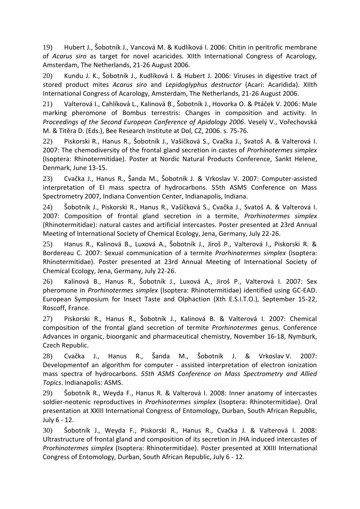19) Hubert J., Šobotník J., Vancová M. & Kudlíková I. 2006: Chitin in peritrofic membrane of *Acarus siro* as target for novel acaricides. XIIth International Congress of Acarology, Amsterdam, The Netherlands, 21-26 August 2006.

20) Kundu J. K., Šobotník J., Kudlíková I. & Hubert J. 2006: Viruses in digestive tract of stored product mites *Acarus siro* and *Lepidoglyphus destructor* (Acari: Acaridida). XIIth International Congress of Acarology, Amsterdam, The Netherlands, 21-26 August 2006.

21) Valterová I., Cahlíková L., Kalinová B., Šobotník J., Hovorka O. & Ptáček V. 2006: Male marking pheromone of Bombus terrestris: Changes in composition and activity. In *Proceedings of the Second European Conference of Apidology 2006*. Veselý V., Vořechovská M. & Titěra D. (Eds.), Bee Research Institute at Dol, CZ, 2006. s. 75-76.

22) Piskorski R., Hanus R., Šobotník J., Vašíčková S., Cvačka J., Svatoš A. & Valterová I. 2007: The chemodiversity of the frontal gland secretion in castes of *Prorhinotermes simplex* (Isoptera: Rhinotermitidae). Poster at Nordic Natural Products Conference, Sankt Helene, Denmark, June 13-15.

23) Cvačka J., Hanus R., Šanda M., Šobotník J. & Vrkoslav V. 2007: Computer-assisted interpretation of EI mass spectra of hydrocarbons. 55th ASMS Conference on Mass Spectrometry 2007, Indiana Convention Center, Indianapolis, Indiana.

24) Šobotník J., Piskorski R., Hanus R., Vašíčková S., Cvačka J., Svatoš A. & Valterová I. 2007: Composition of frontal gland secretion in a termite, *Prorhinotermes simplex* (Rhinotermitidae): natural castes and artificial intercastes. Poster presented at 23rd Annual Meeting of International Society of Chemical Ecology, Jena, Germany, July 22-26.

25) Hanus R., Kalinová B., Luxová A., Šobotník J., Jiroš P., Valterová I., Piskorski R. & Bordereau C. 2007: Sexual communication of a termite *Prorhinotermes simplex* (Isoptera: Rhinotermitidae). Poster presented at 23rd Annual Meeting of International Society of Chemical Ecology, Jena, Germany, July 22-26.

26) Kalinová B., Hanus R., Šobotník J., Luxová A., Jiroš P., Valterová I. 2007: Sex pheromone in *Prorhinotermes simplex* (Isoptera: Rhinotermitidae) identified using GC-EAD. European Symposium for Insect Taste and Olphaction (Xth E.S.I.T.O.), September 15-22, Roscoff, France.

27) Piskorski R., Hanus R., Šobotník J., Kalinová B. & Valterová I. 2007: Chemical composition of the frontal gland secretion of termite *Prorhinotermes* genus. Conference Advances in organic, bioorganic and pharmaceutical chemistry, November 16-18, Nymburk, Czech Republic.

28) Cvačka J., Hanus R., Šanda M., Šobotník J. & Vrkoslav V. 2007: Developmentof an algorithm for computer - assisted interpretation of electron ionization mass spectra of hydrocarbons. *55th ASMS Conference on Mass Spectrometry and Allied Topics*. Indianapolis: ASMS.

29) Šobotník R., Weyda F., Hanus R. & Valterová I. 2008: Inner anatomy of intercastes soldier-neotenic reproductives in *Prorhinotermes simplex* (Isoptera: Rhinotermitidae). Oral presentation at XXIII International Congress of Entomology, Durban, South African Republic, July 6 - 12.

30) Šobotník J., Weyda F., Piskorski R., Hanus R., Cvačka J. & Valterová I. 2008: Ultrastructure of frontal gland and composition of its secretion in JHA induced intercastes of *Prorhinotermes simplex* (Isoptera: Rhinotermitidae). Poster presented at XXIII International Congress of Entomology, Durban, South African Republic, July 6 - 12.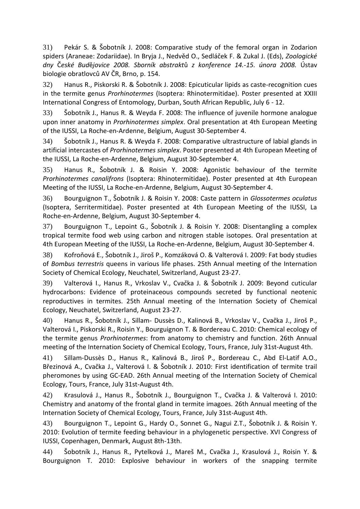31) Pekár S. & Šobotník J. 2008: Comparative study of the femoral organ in Zodarion spiders (Araneae: Zodariidae). In Bryja J., Nedvěd O., Sedláček F. & Zukal J. (Eds), *Zoologické dny* Č*eské Bud*ě*jovice 2008. Sborník abstrakt*ů *z konference 14.*-*15. února 2008.* Ústav biologie obratlovců AV ČR, Brno, p. 154.

32) Hanus R., Piskorski R. & Šobotník J. 2008: Epicuticular lipids as caste-recognition cues in the termite genus *Prorhinotermes* (Isoptera: Rhinotermitidae). Poster presented at XXIII International Congress of Entomology, Durban, South African Republic, July 6 - 12.

33) Šobotník J., Hanus R. & Weyda F. 2008: The influence of juvenile hormone analogue upon inner anatomy in *Prorhinotermes simplex*. Oral presentation at 4th European Meeting of the IUSSI, La Roche-en-Ardenne, Belgium, August 30-September 4.

34) Šobotník J., Hanus R. & Weyda F. 2008: Comparative ultrastructure of labial glands in artificial intercastes of *Prorhinotermes simplex*. Poster presented at 4th European Meeting of the IUSSI, La Roche-en-Ardenne, Belgium, August 30-September 4.

35) Hanus R., Šobotník J. & Roisin Y. 2008: Agonistic behaviour of the termite *Prorhinotermes canalifrons* (Isoptera: Rhinotermitidae). Poster presented at 4th European Meeting of the IUSSI, La Roche-en-Ardenne, Belgium, August 30-September 4.

36) Bourguignon T., Šobotník J. & Roisin Y. 2008: Caste pattern in *Glossotermes oculatus* (Isoptera, Serritermitidae). Poster presented at 4th European Meeting of the IUSSI, La Roche-en-Ardenne, Belgium, August 30-September 4.

37) Bourguignon T., Lepoint G., Šobotník J. & Roisin Y. 2008: Disentangling a complex tropical termite food web using carbon and nitrogen stable isotopes. Oral presentation at 4th European Meeting of the IUSSI, La Roche-en-Ardenne, Belgium, August 30-September 4.

38) Kofroňová E., Šobotník J., Jiroš P., Komzáková O. & Valterová I. 2009: Fat body studies of *Bombus terrestris* queens in various life phases. 25th Annual meeting of the Internation Society of Chemical Ecology, Neuchatel, Switzerland, August 23-27.

39) Valterová I., Hanus R., Vrkoslav V., Cvačka J. & Šobotník J. 2009: Beyond cuticular hydrocarbons: Evidence of proteinaceous compounds secreted by functional neotenic reproductives in termites. 25th Annual meeting of the Internation Society of Chemical Ecology, Neuchatel, Switzerland, August 23-27.

40) Hanus R., Šobotník J., Sillam‐ Dussès D., Kalinová B., Vrkoslav V., Cvačka J., Jiroš P., Valterová I., Piskorski R., Roisin Y., Bourguignon T. & Bordereau C. 2010: Chemical ecology of the termite genus *Prorhinotermes*: from anatomy to chemistry and function. 26th Annual meeting of the Internation Society of Chemical Ecology, Tours, France, July 31st-August 4th.

41) Sillam‐Dussès D., Hanus R., Kalinová B., Jiroš P., Bordereau C., Abd El-Latif A.O., Březinová A., Cvačka J., Valterová I. & Šobotník J. 2010: First identification of termite trail pheromones by using GC-EAD. 26th Annual meeting of the Internation Society of Chemical Ecology, Tours, France, July 31st-August 4th.

42) Krasulová J., Hanus R., Šobotník J., Bourguignon T., Cvačka J. & Valterová I. 2010: Chemistry and anatomy of the frontal gland in termite imagoes. 26th Annual meeting of the Internation Society of Chemical Ecology, Tours, France, July 31st-August 4th.

43) Bourguignon T., Lepoint G., Hardy O., Sonnet G., Nagui Z.T., Šobotník J. & Roisin Y. 2010: Evolution of termite feeding behaviour in a phylogenetic perspective. XVI Congress of IUSSI, Copenhagen, Denmark, August 8th-13th.

44) Šobotník J., Hanus R., Pytelková J., Mareš M., Cvačka J., Krasulová J., Roisin Y. & Bourguignon T. 2010: Explosive behaviour in workers of the snapping termite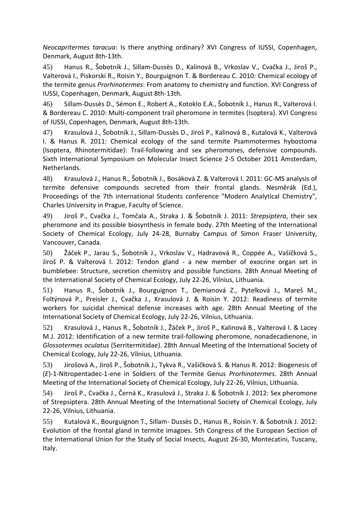*Neocapritermes taracua*: Is there anything ordinary? XVI Congress of IUSSI, Copenhagen, Denmark, August 8th-13th.

45) Hanus R., Šobotník J., Sillam‐Dussès D., Kalinová B., Vrkoslav V., Cvačka J., Jiroš P., Valterová I., Piskorski R., Roisin Y., Bourguignon T. & Bordereau C. 2010: Chemical ecology of the termite genus *Prorhinotermes*: From anatomy to chemistry and function. XVI Congress of IUSSI, Copenhagen, Denmark, August 8th-13th.

46) Sillam‐Dussès D., Sémon E., Robert A., Kotoklo E.A., Šobotník J., Hanus R., Valterová I. & Bordereau C. 2010: Multi-component trail pheromone in termites (Isoptera). XVI Congress of IUSSI, Copenhagen, Denmark, August 8th-13th.

47) Krasulová J., Šobotník J., Sillam-Dussès D., Jiroš P., Kalinová B., Kutalová K., Valterová I. & Hanus R. 2011: Chemical ecology of the sand termite Psammotermes hybostoma (Isoptera, Rhinotermitidae): Trail-following and sex pheromones, defensive compounds. Sixth International Symposium on Molecular Insect Science 2-5 October 2011 Amsterdam, Netherlands.

48) Krasulová J., Hanus R., Šobotník J., Bosáková Z. & Valterová I. 2011: GC-MS analysis of termite defensive compounds secreted from their frontal glands. Nesměrák (Ed.), Proceedings of the 7th international Students conference "Modern Analytical Chemistry", Charles University in Prague, Faculty of Science.

49) Jiroš P., Cvačka J., Tomčala A., Straka J. & Šobotník J. 2011: *Strepsiptera*, their sex pheromone and its possible biosynthesis in female body. 27th Meeting of the International Society of Chemical Ecology, July 24-28, Burnaby Campus of Simon Fraser University, Vancouver, Canada.

50) Žáček P., Jarau S., Šobotník J., Vrkoslav V., Hadravová R., Coppée A., Vašíčková S., Jiroš P. & Valterová I. 2012: Tendon gland - a new member of exocrine organ set in bumblebee: Structure, secretion chemistry and possible functions. 28th Annual Meeting of the International Society of Chemical Ecology, July 22-26, Vilnius, Lithuania.

51) Hanus R., Šobotník J., Bourguignon T., Demianová Z., Pytelková J., Mareš M., Foltýnová P., Preisler J., Cvačka J., Krasulová J. & Roisin Y. 2012: Readiness of termite workers for suicidal chemical defense increases with age. 28th Annual Meeting of the International Society of Chemical Ecology, July 22-26, Vilnius, Lithuania.

52) Krasulová J., Hanus R., Šobotník J., Žáček P., Jiroš P., Kalinová B., Valterová I. & Lacey M.J. 2012: Identification of a new termite trail-following pheromone, nonadecadienone, in *Glossotermes oculatus* (Serritermitidae). 28th Annual Meeting of the International Society of Chemical Ecology, July 22-26, Vilnius, Lithuania.

53) Jirošová A., Jiroš P., Šobotník J., Tykva R., Vašíčková S. & Hanus R. 2012: Biogenesis of (*E*)-1-Nitropentadec-1-ene in Soldiers of the Termite Genus *Prorhinotermes*. 28th Annual Meeting of the International Society of Chemical Ecology, July 22-26, Vilnius, Lithuania.

54) Jiroš P., Cvačka J., Černá K., Krasulová J., Straka J. & Šobotník J. 2012: Sex pheromone of Strepsiptera. 28th Annual Meeting of the International Society of Chemical Ecology, July 22-26, Vilnius, Lithuania.

55) Kutalová K., Bourguignon T., Sillam- Dussès D., Hanus R., Roisin Y. & Šobotník J. 2012: Evolution of the frontal gland in termite imagoes. 5th Congress of the European Section of the International Union for the Study of Social Insects, August 26-30, Montecatini, Tuscany, Italy.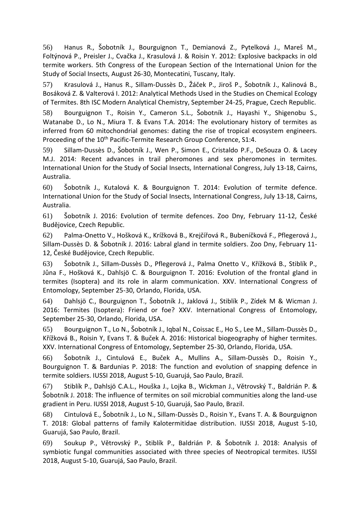56) Hanus R., Šobotník J., Bourguignon T., Demianová Z., Pytelková J., Mareš M., Foltýnová P., Preisler J., Cvačka J., Krasulová J. & Roisin Y. 2012: Explosive backpacks in old termite workers. 5th Congress of the European Section of the International Union for the Study of Social Insects, August 26-30, Montecatini, Tuscany, Italy.

57) Krasulová J., Hanus R., Sillam-Dussès D., Žáček P., Jiroš P., Šobotník J., Kalinová B., Bosáková Z. & Valterová I. 2012: Analytical Methods Used in the Studies on Chemical Ecology of Termites. 8th ISC Modern Analytical Chemistry, September 24-25, Prague, Czech Republic.

58) Bourguignon T., Roisin Y., Cameron S.L., Šobotník J., Hayashi Y., Shigenobu S., Watanabe D., Lo N., Miura T. & Evans T.A. 2014: The evolutionary history of termites as inferred from 60 mitochondrial genomes: dating the rise of tropical ecosystem engineers. Proceeding of the 10<sup>th</sup> Pacific-Termite Research Group Conference, S1:4.

59) Sillam-Dussès D., Šobotník J., Wen P., Simon E., Cristaldo P.F., DeSouza O. & Lacey M.J. 2014: Recent advances in trail pheromones and sex pheromones in termites. International Union for the Study of Social Insects, International Congress, July 13-18, Cairns, Australia.

60) Šobotník J., Kutalová K. & Bourguignon T. 2014: Evolution of termite defence. International Union for the Study of Social Insects, International Congress, July 13-18, Cairns, Australia.

61) Šobotník J. 2016: Evolution of termite defences. Zoo Dny, February 11-12, České Budějovice, Czech Republic.

62) Palma-Onetto V., Hošková K., Krížková B., Krejčířová R., Bubeníčková F., Pflegerová J., Sillam-Dussès D. & Šobotník J. 2016: Labral gland in termite soldiers. Zoo Dny, February 11- 12, České Budějovice, Czech Republic.

63) Šobotník J., Sillam-Dussès D., Pflegerová J., Palma Onetto V., Křížková B., Stiblík P., Jůna F., Hošková K., Dahlsjö C. & Bourguignon T. 2016: Evolution of the frontal gland in termites (Isoptera) and its role in alarm communication. XXV. International Congress of Entomology, September 25-30, Orlando, Florida, USA.

64) Dahlsjö C., Bourguignon T., Šobotník J., Jaklová J., Stiblík P., Zídek M & Wicman J. 2016: Termites (Isoptera): Friend or foe? XXV. International Congress of Entomology, September 25-30, Orlando, Florida, USA.

65) Bourguignon T., Lo N., Šobotník J., Iqbal N., Coissac E., Ho S., Lee M., Sillam-Dussès D., Křížková B., Roisin Y, Evans T. & Buček A. 2016: Historical biogeography of higher termites. XXV. International Congress of Entomology, September 25-30, Orlando, Florida, USA.

66) Šobotník J., Cintulová E., Buček A., Mullins A., Sillam-Dussès D., Roisin Y., Bourguignon T. & Bardunias P. 2018: The function and evolution of snapping defence in termite soldiers. IUSSI 2018, August 5-10, Guarujá, Sao Paulo, Brazil.

67) Stiblík P., Dahlsjö C.A.L., Houška J., Lojka B., Wickman J., Větrovský T., Baldrián P. & Šobotník J. 2018: The influence of termites on soil microbial communities along the land-use gradient in Peru. IUSSI 2018, August 5-10, Guarujá, Sao Paulo, Brazil.

68) Cintulová E., Šobotník J., Lo N., Sillam-Dussès D., Roisin Y., Evans T. A. & Bourguignon T. 2018: Global patterns of family Kalotermitidae distribution. IUSSI 2018, August 5-10, Guarujá, Sao Paulo, Brazil.

69) Soukup P., Větrovský P., Stiblík P., Baldrián P. & Šobotník J. 2018: Analysis of symbiotic fungal communities associated with three species of Neotropical termites. IUSSI 2018, August 5-10, Guarujá, Sao Paulo, Brazil.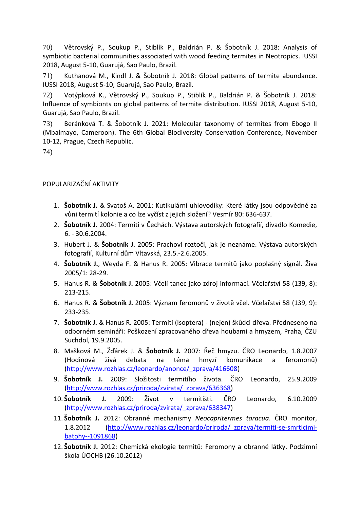70) Větrovský P., Soukup P., Stiblík P., Baldrián P. & Šobotník J. 2018: Analysis of symbiotic bacterial communities associated with wood feeding termites in Neotropics. IUSSI 2018, August 5-10, Guarujá, Sao Paulo, Brazil.

71) Kuthanová M., Kindl J. & Šobotník J. 2018: Global patterns of termite abundance. IUSSI 2018, August 5-10, Guarujá, Sao Paulo, Brazil.

72) Votýpková K., Větrovský P., Soukup P., Stiblík P., Baldrián P. & Šobotník J. 2018: Influence of symbionts on global patterns of termite distribution. IUSSI 2018, August 5-10, Guarujá, Sao Paulo, Brazil.

73) Beránková T. & Šobotník J. 2021: Molecular taxonomy of termites from Ebogo II (Mbalmayo, Cameroon). The 6th Global Biodiversity Conservation Conference, November 10-12, Prague, Czech Republic.

74)

# POPULARIZAČNÍ AKTIVITY

- 1. **Šobotník J.** & Svatoš A. 2001: Kutikulární uhlovodíky: Které látky jsou odpovědné za vůni termití kolonie a co lze vyčíst z jejich složení? Vesmír 80: 636-637.
- 2. **Šobotník J.** 2004: Termiti v Čechách. Výstava autorských fotografií, divadlo Komedie, 6. - 30.6.2004.
- 3. Hubert J. & **Šobotník J.** 2005: Prachoví roztoči, jak je neznáme. Výstava autorských fotografií, Kulturní dům Vltavská, 23.5.-2.6.2005.
- 4. **Šobotník J.**, Weyda F. & Hanus R. 2005: Vibrace termitů jako poplašný signál. Živa 2005/1: 28-29.
- 5. Hanus R. & **Šobotník J.** 2005: Včelí tanec jako zdroj informací. Včelařství 58 (139, 8): 213-215.
- 6. Hanus R. & **Šobotník J.** 2005: Význam feromonů v životě včel. Včelařství 58 (139, 9): 233-235.
- 7. **Šobotník J.** & Hanus R. 2005: Termiti (Isoptera) (nejen) škůdci dřeva. Předneseno na odborném semináři: Poškození zpracovaného dřeva houbami a hmyzem, Praha, ČZU Suchdol, 19.9.2005.
- 8. Mašková M., Žďárek J. & **Šobotník J.** 2007: Řeč hmyzu. ČRO Leonardo, 1.8.2007 (Hodinová živá debata na téma hmyzí komunikace a feromonů) [\(http://www.rozhlas.cz/leonardo/anonce/\\_zprava/416608\)](http://www.rozhlas.cz/leonardo/anonce/_zprava/416608)
- 9. **Šobotník J.** 2009: Složitosti termitího života. ČRO Leonardo, 25.9.2009 [\(http://www.rozhlas.cz/priroda/zvirata/\\_zprava/636368\)](http://www.rozhlas.cz/priroda/zvirata/_zprava/636368)
- 10. **Šobotník J.** 2009: Život v termitišti. ČRO Leonardo, 6.10.2009 [\(http://www.rozhlas.cz/priroda/zvirata/\\_zprava/638347\)](http://www.rozhlas.cz/priroda/zvirata/_zprava/638347)
- 11. **Šobotník J.** 2012: Obranné mechanismy *Neocapritermes taracua*. ČRO monitor, 1.8.2012 [\(http://www.rozhlas.cz/leonardo/priroda/\\_zprava/termiti-se-smrticimi](http://www.rozhlas.cz/leonardo/priroda/_zprava/termiti-se-smrticimi-batohy--1091868)[batohy--1091868\)](http://www.rozhlas.cz/leonardo/priroda/_zprava/termiti-se-smrticimi-batohy--1091868)
- 12. **Šobotník J.** 2012: Chemická ekologie termitů: Feromony a obranné látky. Podzimní škola ÚOCHB (26.10.2012)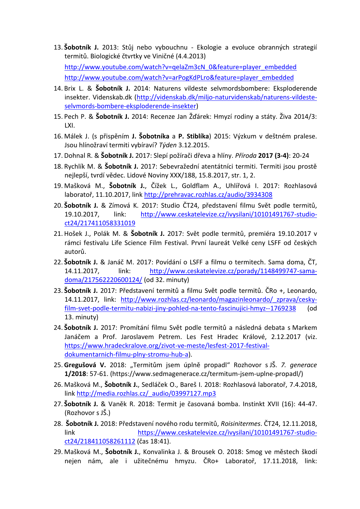- 13. **Šobotník J.** 2013: Stůj nebo vybouchnu Ekologie a evoluce obranných strategií termitů. Biologické čtvrtky ve Viničné (4.4.2013) [http://www.youtube.com/watch?v=qelaZm3cN\\_0&feature=player\\_embedded](http://www.youtube.com/watch?v=qelaZm3cN_0&feature=player_embedded) [http://www.youtube.com/watch?v=arPogKdPLro&feature=player\\_embedded](http://www.youtube.com/watch?v=arPogKdPLro&feature=player_embedded)
- 14. Brix L. & **Šobotník J.** 2014: Naturens vildeste selvmordsbombere: Eksploderende insekter. Videnskab.dk [\(http://videnskab.dk/miljo-naturvidenskab/naturens-vildeste](http://videnskab.dk/miljo-naturvidenskab/naturens-vildeste-selvmords-bombere-eksploderende-insekter)[selvmords-bombere-eksploderende-insekter\)](http://videnskab.dk/miljo-naturvidenskab/naturens-vildeste-selvmords-bombere-eksploderende-insekter)
- 15. Pech P. & **Šobotník J.** 2014: Recenze Jan Žďárek: Hmyzí rodiny a státy. Živa 2014/3: LXI.
- 16. Málek J. (s přispěním **J. Šobotníka** a **P. Stiblíka**) 2015: Výzkum v deštném pralese. Jsou hlínožraví termiti vybíraví? *Týden* 3.12.2015.
- 17. Dohnal R. & **Šobotník J.** 2017: Slepí požírači dřeva a hlíny. *Příroda* **2017 (3-4)**: 20-24
- 18. Rychlík M. & **Šobotník J.** 2017: Sebevražední atentátníci termiti. Termiti jsou prostě nejlepší, tvrdí vědec. Lidové Noviny XXX/188, 15.8.2017, str. 1, 2.
- 19. Mašková M., **Šobotník J.**, Čížek L., Goldflam A., Uhlířová I. 2017: Rozhlasová laboratoř, 11.10.2017, link <http://prehravac.rozhlas.cz/audio/3934308>
- 20. **Šobotník J.** & Zímová K. 2017: Studio ČT24, představení filmu Svět podle termitů, 19.10.2017, link: [http://www.ceskatelevize.cz/ivysilani/10101491767-studio](http://www.ceskatelevize.cz/ivysilani/10101491767-studio-ct24/217411058331019)[ct24/217411058331019](http://www.ceskatelevize.cz/ivysilani/10101491767-studio-ct24/217411058331019)
- 21. Hošek J., Polák M. & **Šobotník J.** 2017: Svět podle termitů, premiéra 19.10.2017 v rámci festivalu Life Science Film Festival. První laureát Velké ceny LSFF od českých autorů.
- 22. **Šobotník J.** & Janáč M. 2017: Povídání o LSFF a filmu o termitech. Sama doma, ČT, 14.11.2017, link: [http://www.ceskatelevize.cz/porady/1148499747-sama](http://www.ceskatelevize.cz/porady/1148499747-sama-doma/217562220600124/)[doma/217562220600124/](http://www.ceskatelevize.cz/porady/1148499747-sama-doma/217562220600124/) (od 32. minuty)
- 23. **Šobotník J.** 2017: Představení termitů a filmu Svět podle termitů. ČRo +, Leonardo, 14.11.2017, link: http://www.rozhlas.cz/leonardo/magazinleonardo/ zprava/cesky[film-svet-podle-termitu-nabizi-jiny-pohled-na-tento-fascinujici-hmyz--1769238](http://www.rozhlas.cz/leonardo/magazinleonardo/_zprava/cesky-film-svet-podle-termitu-nabizi-jiny-pohled-na-tento-fascinujici-hmyz--1769238) (od 13. minuty)
- 24. **Šobotník J.** 2017: Promítání filmu Svět podle termitů a následná debata s Markem Janáčem a Prof. Jaroslavem Petrem. Les Fest Hradec Králové, 2.12.2017 (viz. [https://www.hradeckralove.org/zivot-ve-meste/lesfest-2017-festival](https://www.hradeckralove.org/zivot-ve-meste/lesfest-2017-festival-dokumentarnich-filmu-plny-stromu-hub-a)[dokumentarnich-filmu-plny-stromu-hub-a\)](https://www.hradeckralove.org/zivot-ve-meste/lesfest-2017-festival-dokumentarnich-filmu-plny-stromu-hub-a).
- 25. **Gregušová V.** 2018: "Termitům jsem úplně propadl" Rozhovor s JŠ. *7. generace* **1/2018**: 57-61. (https://www.sedmagenerace.cz/termitum-jsem-uplne-propadl/)
- 26. Mašková M., **Šobotník J.**, Sedláček O., Bareš I. 2018: Rozhlasová laboratoř, 7.4.2018, link [http://media.rozhlas.cz/\\_audio/03997127.mp3](http://media.rozhlas.cz/_audio/03997127.mp3)
- 27. **Šobotník J.** & Vaněk R. 2018: Termit je časovaná bomba. Instinkt XVII (16): 44-47. (Rozhovor s JŠ.)
- 28. **Šobotník J.** 2018: Představení nového rodu termitů, *Roisinitermes*. ČT24, 12.11.2018, link [https://www.ceskatelevize.cz/ivysilani/10101491767-studio](https://www.ceskatelevize.cz/ivysilani/10101491767-studio-ct24/218411058261112)[ct24/218411058261112](https://www.ceskatelevize.cz/ivysilani/10101491767-studio-ct24/218411058261112) (čas 18:41).
- 29. Mašková M., **Šobotník J.**, Konvalinka J. & Brousek O. 2018: Smog ve městech škodí nejen nám, ale i užitečnému hmyzu. ČRo+ Laboratoř, 17.11.2018, link: